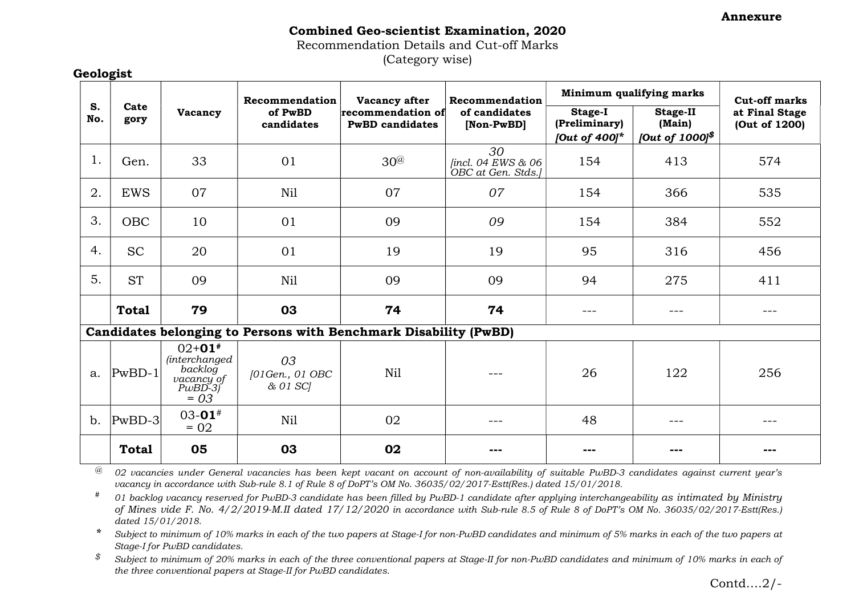Annexure

## Combined Geo-scientist Examination, 2020 Recommendation Details and Cut-off Marks

(Category wise)

|           | Cate<br>gory                                                     | Vacancy                                                                           | Recommendation<br>of PwBD<br>candidates | Vacancy after<br>recommendation of<br><b>PwBD</b> candidates | Recommendation<br>of candidates<br>[Non-PwBD] | Minimum qualifying marks                            |                                                                                                                                                                                                                                                                                                                                                                                                                                                                            | <b>Cut-off marks</b>            |  |
|-----------|------------------------------------------------------------------|-----------------------------------------------------------------------------------|-----------------------------------------|--------------------------------------------------------------|-----------------------------------------------|-----------------------------------------------------|----------------------------------------------------------------------------------------------------------------------------------------------------------------------------------------------------------------------------------------------------------------------------------------------------------------------------------------------------------------------------------------------------------------------------------------------------------------------------|---------------------------------|--|
| S.<br>No. |                                                                  |                                                                                   |                                         |                                                              |                                               | <b>Stage-I</b><br>(Preliminary)<br>[Out of $400$ ]* | <b>Stage-II</b><br>(Main)<br>[Out of 1000] $$$                                                                                                                                                                                                                                                                                                                                                                                                                             | at Final Stage<br>(Out of 1200) |  |
| 1.        | Gen.                                                             | 33                                                                                | 01                                      | 30%                                                          | 30<br>[incl. 04 EWS & 06<br>OBC at Gen. Stds. | 154                                                 | 413                                                                                                                                                                                                                                                                                                                                                                                                                                                                        | 574                             |  |
| 2.        | <b>EWS</b>                                                       | 07                                                                                | Nil                                     | 07                                                           | 07                                            | 154                                                 | 366                                                                                                                                                                                                                                                                                                                                                                                                                                                                        | 535                             |  |
| 3.        | <b>OBC</b>                                                       | 10                                                                                | 01                                      | 09                                                           | 09                                            | 154                                                 | 384                                                                                                                                                                                                                                                                                                                                                                                                                                                                        | 552                             |  |
| 4.        | <b>SC</b>                                                        | 20                                                                                | 01                                      | 19                                                           | 19                                            | 95                                                  | 316                                                                                                                                                                                                                                                                                                                                                                                                                                                                        | 456                             |  |
| 5.        | <b>ST</b>                                                        | 09                                                                                | Nil                                     | 09                                                           | 09                                            | 94                                                  | 275                                                                                                                                                                                                                                                                                                                                                                                                                                                                        | 411                             |  |
|           | <b>Total</b>                                                     | 79                                                                                | 03                                      | 74                                                           | 74                                            | ---                                                 |                                                                                                                                                                                                                                                                                                                                                                                                                                                                            |                                 |  |
|           | Candidates belonging to Persons with Benchmark Disability (PwBD) |                                                                                   |                                         |                                                              |                                               |                                                     |                                                                                                                                                                                                                                                                                                                                                                                                                                                                            |                                 |  |
| a.        | $PwBD-1$                                                         | $02+01*$<br><i>(interchanged)</i><br>backlog<br>vacancy of<br>$PwBD-3$<br>$= 0.3$ | 03<br>[01Gen., 01 OBC<br>& 01 SCl       | Nil                                                          |                                               | 26                                                  | 122                                                                                                                                                                                                                                                                                                                                                                                                                                                                        | 256                             |  |
| b.        | $PwBD-3$                                                         | $03 - 01$ <sup>#</sup><br>$= 02$                                                  | Nil                                     | 02                                                           | $- - -$                                       | 48                                                  | $\frac{1}{2} \left( \frac{1}{2} \right) \left( \frac{1}{2} \right) \left( \frac{1}{2} \right) \left( \frac{1}{2} \right) \left( \frac{1}{2} \right) \left( \frac{1}{2} \right) \left( \frac{1}{2} \right) \left( \frac{1}{2} \right) \left( \frac{1}{2} \right) \left( \frac{1}{2} \right) \left( \frac{1}{2} \right) \left( \frac{1}{2} \right) \left( \frac{1}{2} \right) \left( \frac{1}{2} \right) \left( \frac{1}{2} \right) \left( \frac{1}{2} \right) \left( \frac$ | ---                             |  |
|           | <b>Total</b>                                                     | 05                                                                                | 03                                      | 02                                                           | ---                                           |                                                     |                                                                                                                                                                                                                                                                                                                                                                                                                                                                            |                                 |  |

 $@$  02 vacancies under General vacancies has been kept vacant on account of non-availability of suitable PwBD-3 candidates against current year's vacancy in accordance with Sub-rule 8.1 of Rule 8 of DoPT's OM No. 36035/02/2017-Estt(Res.) dated 15/01/2018.

 $*$  01 backlog vacancy reserved for PwBD-3 candidate has been filled by PwBD-1 candidate after applying interchangeability as intimated by Ministry of Mines vide F. No. 4/2/2019-M.II dated 17/12/2020 in accordance with Sub-rule 8.5 of Rule 8 of DoPT's OM No. 36035/02/2017-Estt(Res.) dated 15/01/2018.

\* Subject to minimum of 10% marks in each of the two papers at Stage-I for non-PwBD candidates and minimum of 5% marks in each of the two papers at Stage-I for PwBD candidates.

 $$$  Subject to minimum of 20% marks in each of the three conventional papers at Stage-II for non-PwBD candidates and minimum of 10% marks in each of the three conventional papers at Stage-II for PwBD candidates.

Contd….2/-

Geologist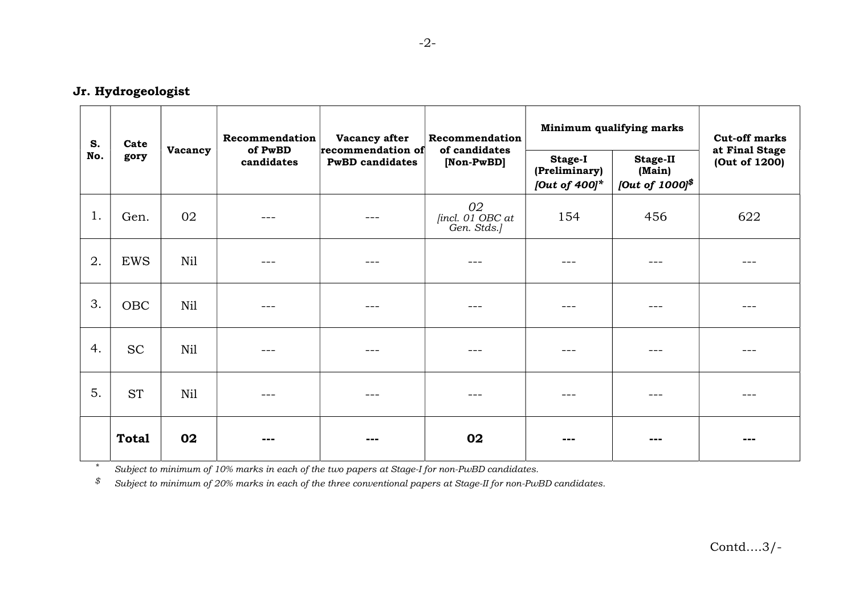## Jr. Hydrogeologist

| S.<br>No. | Cate<br>gory | Vacancy | Recommendation<br>of PwBD<br>candidates | Vacancy after<br>recommendation of<br><b>PwBD</b> candidates | Recommendation<br>of candidates<br>[Non-PwBD] | Minimum qualifying marks                     |                                                 | <b>Cut-off marks</b>            |
|-----------|--------------|---------|-----------------------------------------|--------------------------------------------------------------|-----------------------------------------------|----------------------------------------------|-------------------------------------------------|---------------------------------|
|           |              |         |                                         |                                                              |                                               | Stage-I<br>(Preliminary)<br>[Out of $400$ ]* | <b>Stage-II</b><br>(Main)<br>[Out of $1000$ ]\$ | at Final Stage<br>(Out of 1200) |
| 1.        | Gen.         | 02      | ---                                     | ---                                                          | 02<br>[incl. 01 OBC at<br>Gen. Stds.]         | 154                                          | 456                                             | 622                             |
| 2.        | <b>EWS</b>   | Nil     |                                         | $- - -$                                                      | ---                                           |                                              |                                                 |                                 |
| 3.        | <b>OBC</b>   | Nil     | $- - -$                                 | $\frac{1}{2}$                                                | ---                                           |                                              | $- - -$                                         |                                 |
| 4.        | <b>SC</b>    | Nil     | ---                                     | ---                                                          |                                               | ---                                          | ---                                             |                                 |
| 5.        | <b>ST</b>    | Nil     | $=$ $ -$                                | ---                                                          | ---                                           |                                              | ---                                             |                                 |
|           | <b>Total</b> | 02      | ---                                     | ---                                                          | 02                                            | ---                                          | ---                                             | ---                             |

\* Subject to minimum of 10% marks in each of the two papers at Stage-I for non-PwBD candidates.

 $$$  Subject to minimum of 20% marks in each of the three conventional papers at Stage-II for non-PwBD candidates.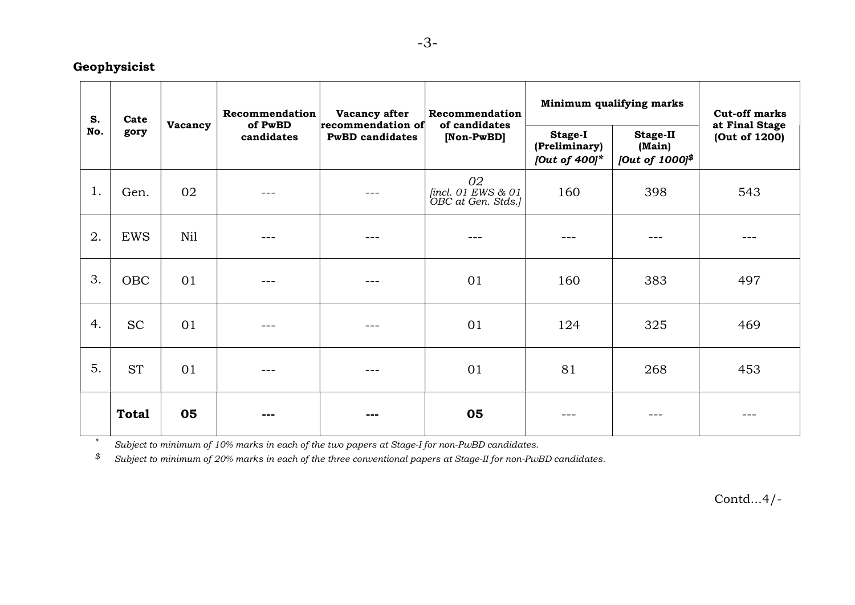## Geophysicist

| S.<br>No. | Cate<br>gory | Vacancy | Recommendation<br>of PwBD<br>candidates | Vacancy after<br>recommendation of<br><b>PwBD</b> candidates | Recommendation<br>of candidates<br>[Non-PwBD]  | Minimum qualifying marks                            |                                                 | <b>Cut-off marks</b>            |
|-----------|--------------|---------|-----------------------------------------|--------------------------------------------------------------|------------------------------------------------|-----------------------------------------------------|-------------------------------------------------|---------------------------------|
|           |              |         |                                         |                                                              |                                                | <b>Stage-I</b><br>(Preliminary)<br>[Out of $400$ ]* | <b>Stage-II</b><br>(Main)<br>[Out of $1000$ ]\$ | at Final Stage<br>(Out of 1200) |
| 1.        | Gen.         | 02      |                                         | ---                                                          | 02<br>fincl. 01 EWS & 01<br>OBC at Gen. Stds.] | 160                                                 | 398                                             | 543                             |
| 2.        | <b>EWS</b>   | Nil     | $=$ $ -$                                | ---                                                          |                                                |                                                     |                                                 |                                 |
| 3.        | <b>OBC</b>   | 01      | $\frac{1}{2}$                           | ---                                                          | 01                                             | 160                                                 | 383                                             | 497                             |
| 4.        | <b>SC</b>    | 01      |                                         |                                                              | 01                                             | 124                                                 | 325                                             | 469                             |
| 5.        | <b>ST</b>    | 01      | ---                                     | ---                                                          | 01                                             | 81                                                  | 268                                             | 453                             |
|           | <b>Total</b> | 05      | ---                                     | $- - -$                                                      | 05                                             | ---                                                 | $- - -$                                         | ---                             |

\* Subject to minimum of 10% marks in each of the two papers at Stage-I for non-PwBD candidates.

 $$$  Subject to minimum of 20% marks in each of the three conventional papers at Stage-II for non-PwBD candidates.

Contd...4/-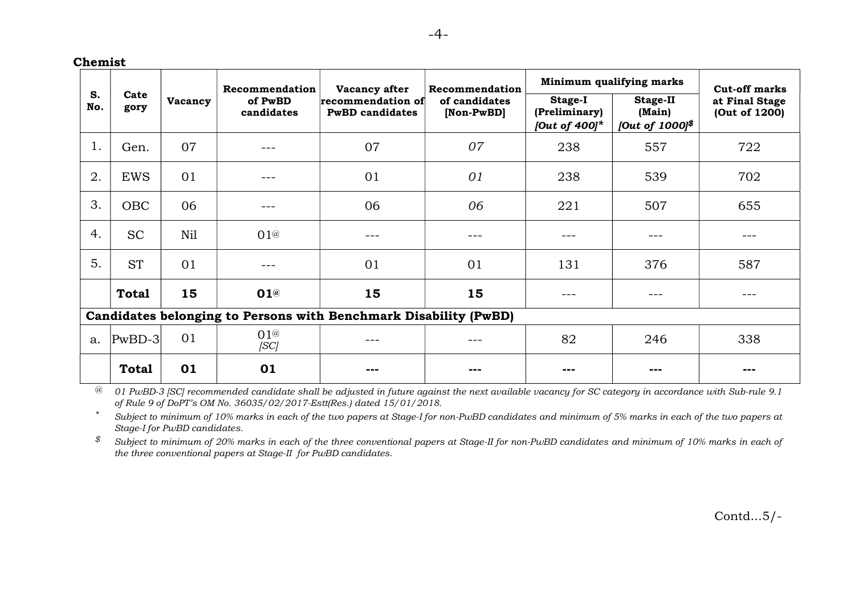Chemist

|                                                                  | Cate<br>gory | Vacancy | Recommendation<br>of PwBD<br>candidates | Vacancy after<br>recommendation of<br><b>PwBD</b> candidates | Recommendation<br>of candidates<br>[Non-PwBD] | Minimum qualifying marks                     |                                                | <b>Cut-off marks</b>            |  |
|------------------------------------------------------------------|--------------|---------|-----------------------------------------|--------------------------------------------------------------|-----------------------------------------------|----------------------------------------------|------------------------------------------------|---------------------------------|--|
| S.<br>No.                                                        |              |         |                                         |                                                              |                                               | Stage-I<br>(Preliminary)<br>[Out of $400$ ]* | <b>Stage-II</b><br>(Main)<br>[Out of 1000] $$$ | at Final Stage<br>(Out of 1200) |  |
| 1.                                                               | Gen.         | 07      | ---                                     | 07                                                           | 07                                            | 238                                          | 557                                            | 722                             |  |
| 2.                                                               | <b>EWS</b>   | 01      |                                         | 01                                                           | 01                                            | 238                                          | 539                                            | 702                             |  |
| 3.                                                               | <b>OBC</b>   | 06      |                                         | 06                                                           | 06                                            | 221                                          | 507                                            | 655                             |  |
| 4.                                                               | <b>SC</b>    | Nil     | 01@                                     | ---                                                          |                                               |                                              |                                                |                                 |  |
| 5.                                                               | <b>ST</b>    | 01      |                                         | 01                                                           | 01                                            | 131                                          | 376                                            | 587                             |  |
|                                                                  | <b>Total</b> | 15      | 01@                                     | 15                                                           | 15                                            |                                              |                                                |                                 |  |
| Candidates belonging to Persons with Benchmark Disability (PwBD) |              |         |                                         |                                                              |                                               |                                              |                                                |                                 |  |
| a.                                                               | $PwBD-3$     | 01      | 01@<br> SC                              |                                                              |                                               | 82                                           | 246                                            | 338                             |  |
|                                                                  | <b>Total</b> | 01      | 01                                      | ---                                                          |                                               | ---                                          | ---                                            |                                 |  |

 $\degree$  01 PwBD-3 [SC] recommended candidate shall be adjusted in future against the next available vacancy for SC category in accordance with Sub-rule 9.1 of Rule 9 of DoPT's OM No. 36035/02/2017-Estt(Res.) dated 15/01/2018.

\* Subject to minimum of 10% marks in each of the two papers at Stage-I for non-PwBD candidates and minimum of 5% marks in each of the two papers at Stage-I for PwBD candidates.

 $$$  Subject to minimum of 20% marks in each of the three conventional papers at Stage-II for non-PwBD candidates and minimum of 10% marks in each of the three conventional papers at Stage-II for PwBD candidates.